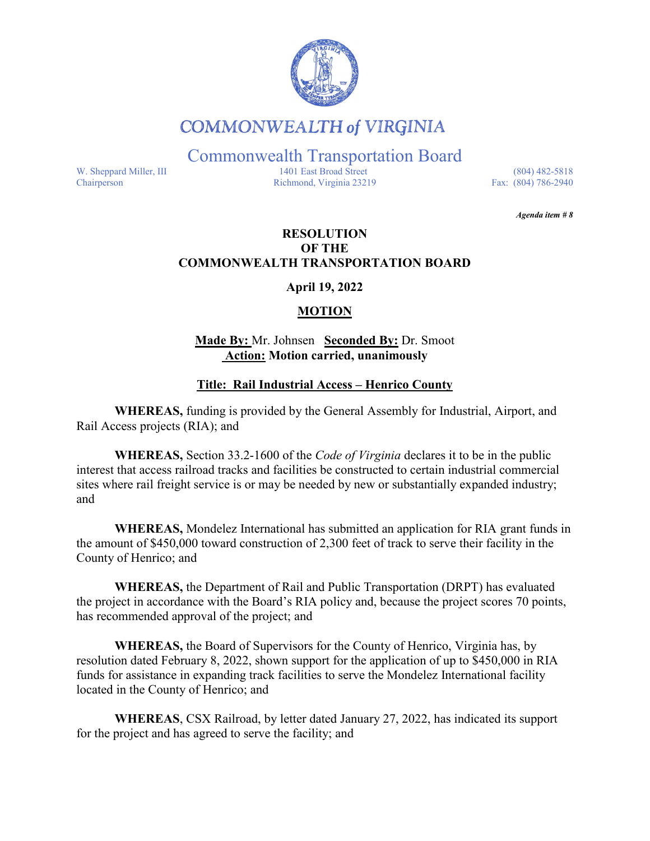

# **COMMONWEALTH of VIRGINIA**

Commonwealth Transportation Board

W. Sheppard Miller, III 1401 East Broad Street (804) 482-5818<br>Chairperson Richmond, Virginia 23219 Fax: (804) 786-2940 Richmond, Virginia 23219

*Agenda item # 8* 

# **RESOLUTION OF THE COMMONWEALTH TRANSPORTATION BOARD**

**April 19, 2022** 

# **MOTION**

# **Made By:** Mr. Johnsen **Seconded By:** Dr. Smoot **Action: Motion carried, unanimously**

# **Title: Rail Industrial Access – Henrico County**

**WHEREAS,** funding is provided by the General Assembly for Industrial, Airport, and Rail Access projects (RIA); and

**WHEREAS,** Section 33.2-1600 of the *Code of Virginia* declares it to be in the public interest that access railroad tracks and facilities be constructed to certain industrial commercial sites where rail freight service is or may be needed by new or substantially expanded industry; and

**WHEREAS,** Mondelez International has submitted an application for RIA grant funds in the amount of \$450,000 toward construction of 2,300 feet of track to serve their facility in the County of Henrico; and

**WHEREAS,** the Department of Rail and Public Transportation (DRPT) has evaluated the project in accordance with the Board's RIA policy and, because the project scores 70 points, has recommended approval of the project; and

**WHEREAS,** the Board of Supervisors for the County of Henrico, Virginia has, by resolution dated February 8, 2022, shown support for the application of up to \$450,000 in RIA funds for assistance in expanding track facilities to serve the Mondelez International facility located in the County of Henrico; and

**WHEREAS**, CSX Railroad, by letter dated January 27, 2022, has indicated its support for the project and has agreed to serve the facility; and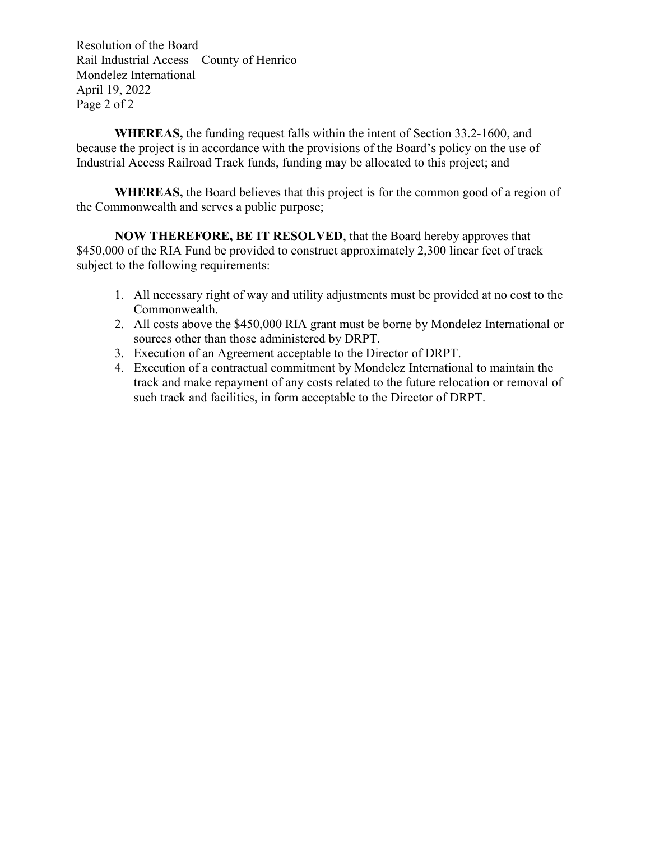Resolution of the Board Rail Industrial Access—County of Henrico Mondelez International April 19, 2022 Page 2 of 2

**WHEREAS,** the funding request falls within the intent of Section 33.2-1600, and because the project is in accordance with the provisions of the Board's policy on the use of Industrial Access Railroad Track funds, funding may be allocated to this project; and

**WHEREAS,** the Board believes that this project is for the common good of a region of the Commonwealth and serves a public purpose;

**NOW THEREFORE, BE IT RESOLVED**, that the Board hereby approves that \$450,000 of the RIA Fund be provided to construct approximately 2,300 linear feet of track subject to the following requirements:

- 1. All necessary right of way and utility adjustments must be provided at no cost to the Commonwealth.
- 2. All costs above the \$450,000 RIA grant must be borne by Mondelez International or sources other than those administered by DRPT.
- 3. Execution of an Agreement acceptable to the Director of DRPT.
- 4. Execution of a contractual commitment by Mondelez International to maintain the track and make repayment of any costs related to the future relocation or removal of such track and facilities, in form acceptable to the Director of DRPT.